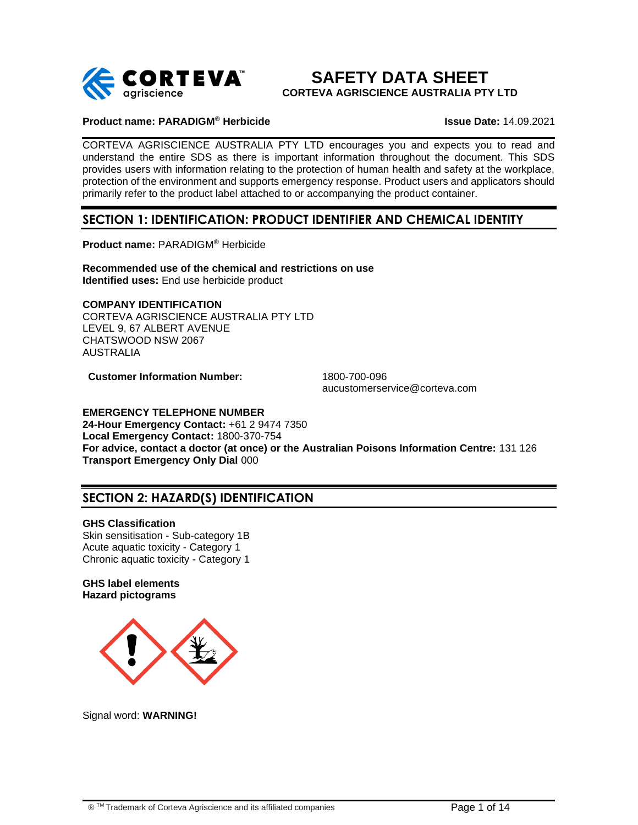

# **SAFETY DATA SHEET CORTEVA AGRISCIENCE AUSTRALIA PTY LTD**

### **Product name: PARADIGM® Herbicide Issue Date:** 14.09.2021

CORTEVA AGRISCIENCE AUSTRALIA PTY LTD encourages you and expects you to read and understand the entire SDS as there is important information throughout the document. This SDS provides users with information relating to the protection of human health and safety at the workplace, protection of the environment and supports emergency response. Product users and applicators should primarily refer to the product label attached to or accompanying the product container.

# **SECTION 1: IDENTIFICATION: PRODUCT IDENTIFIER AND CHEMICAL IDENTITY**

**Product name:** PARADIGM**®** Herbicide

**Recommended use of the chemical and restrictions on use Identified uses:** End use herbicide product

# **COMPANY IDENTIFICATION**

CORTEVA AGRISCIENCE AUSTRALIA PTY LTD LEVEL 9, 67 ALBERT AVENUE CHATSWOOD NSW 2067 AUSTRALIA

**Customer Information Number:** 1800-700-096

aucustomerservice@corteva.com

#### **EMERGENCY TELEPHONE NUMBER**

**24-Hour Emergency Contact:** +61 2 9474 7350 **Local Emergency Contact:** 1800-370-754 **For advice, contact a doctor (at once) or the Australian Poisons Information Centre:** 131 126 **Transport Emergency Only Dial** 000

# **SECTION 2: HAZARD(S) IDENTIFICATION**

#### **GHS Classification**

Skin sensitisation - Sub-category 1B Acute aquatic toxicity - Category 1 Chronic aquatic toxicity - Category 1

# **GHS label elements Hazard pictograms**



Signal word: **WARNING!**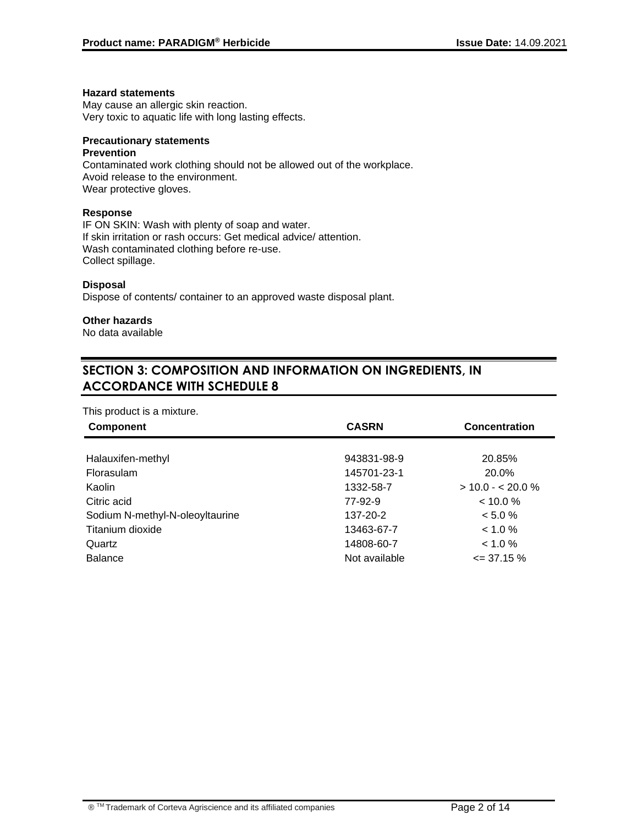#### **Hazard statements**

May cause an allergic skin reaction. Very toxic to aquatic life with long lasting effects.

# **Precautionary statements**

#### **Prevention**

Contaminated work clothing should not be allowed out of the workplace. Avoid release to the environment. Wear protective gloves.

# **Response**

IF ON SKIN: Wash with plenty of soap and water. If skin irritation or rash occurs: Get medical advice/ attention. Wash contaminated clothing before re-use. Collect spillage.

# **Disposal**

Dispose of contents/ container to an approved waste disposal plant.

# **Other hazards**

No data available

# **SECTION 3: COMPOSITION AND INFORMATION ON INGREDIENTS, IN ACCORDANCE WITH SCHEDULE 8**

#### This product is a mixture.

| <b>Component</b>                | <b>CASRN</b>  | <b>Concentration</b> |
|---------------------------------|---------------|----------------------|
|                                 |               |                      |
| Halauxifen-methyl               | 943831-98-9   | 20.85%               |
| Florasulam                      | 145701-23-1   | 20.0%                |
| Kaolin                          | 1332-58-7     | $>$ 10.0 - < 20.0 %  |
| Citric acid                     | 77-92-9       | $< 10.0 \%$          |
| Sodium N-methyl-N-oleoyltaurine | 137-20-2      | $< 5.0 \%$           |
| Titanium dioxide                | 13463-67-7    | $< 1.0 \%$           |
| Quartz                          | 14808-60-7    | $< 1.0 \%$           |
| <b>Balance</b>                  | Not available | $\leq$ 37.15 %       |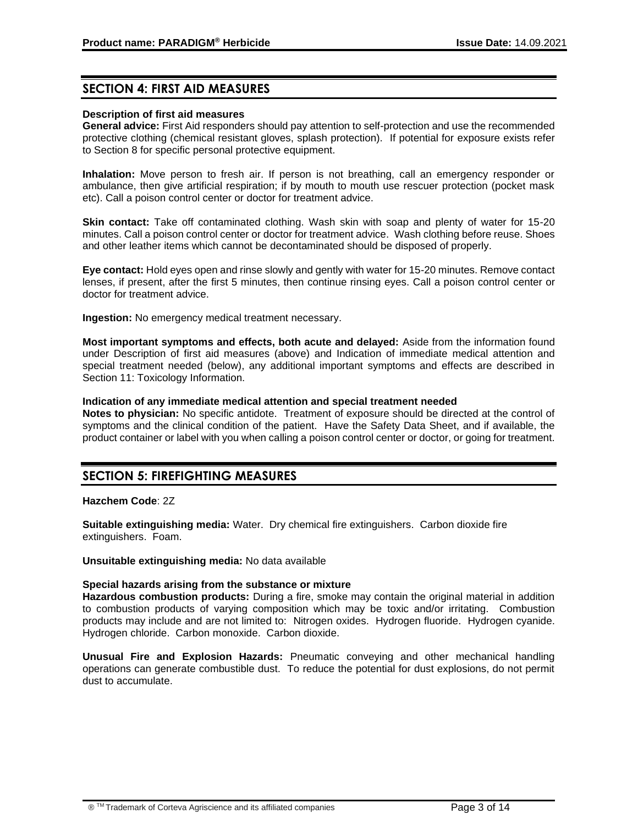# **SECTION 4: FIRST AID MEASURES**

#### **Description of first aid measures**

**General advice:** First Aid responders should pay attention to self-protection and use the recommended protective clothing (chemical resistant gloves, splash protection). If potential for exposure exists refer to Section 8 for specific personal protective equipment.

**Inhalation:** Move person to fresh air. If person is not breathing, call an emergency responder or ambulance, then give artificial respiration; if by mouth to mouth use rescuer protection (pocket mask etc). Call a poison control center or doctor for treatment advice.

**Skin contact:** Take off contaminated clothing. Wash skin with soap and plenty of water for 15-20 minutes. Call a poison control center or doctor for treatment advice. Wash clothing before reuse. Shoes and other leather items which cannot be decontaminated should be disposed of properly.

**Eye contact:** Hold eyes open and rinse slowly and gently with water for 15-20 minutes. Remove contact lenses, if present, after the first 5 minutes, then continue rinsing eyes. Call a poison control center or doctor for treatment advice.

**Ingestion:** No emergency medical treatment necessary.

**Most important symptoms and effects, both acute and delayed:** Aside from the information found under Description of first aid measures (above) and Indication of immediate medical attention and special treatment needed (below), any additional important symptoms and effects are described in Section 11: Toxicology Information.

#### **Indication of any immediate medical attention and special treatment needed**

**Notes to physician:** No specific antidote. Treatment of exposure should be directed at the control of symptoms and the clinical condition of the patient. Have the Safety Data Sheet, and if available, the product container or label with you when calling a poison control center or doctor, or going for treatment.

# **SECTION 5: FIREFIGHTING MEASURES**

#### **Hazchem Code**: 2Z

**Suitable extinguishing media:** Water. Dry chemical fire extinguishers. Carbon dioxide fire extinguishers. Foam.

#### **Unsuitable extinguishing media:** No data available

#### **Special hazards arising from the substance or mixture**

**Hazardous combustion products:** During a fire, smoke may contain the original material in addition to combustion products of varying composition which may be toxic and/or irritating. Combustion products may include and are not limited to: Nitrogen oxides. Hydrogen fluoride. Hydrogen cyanide. Hydrogen chloride. Carbon monoxide. Carbon dioxide.

**Unusual Fire and Explosion Hazards:** Pneumatic conveying and other mechanical handling operations can generate combustible dust. To reduce the potential for dust explosions, do not permit dust to accumulate.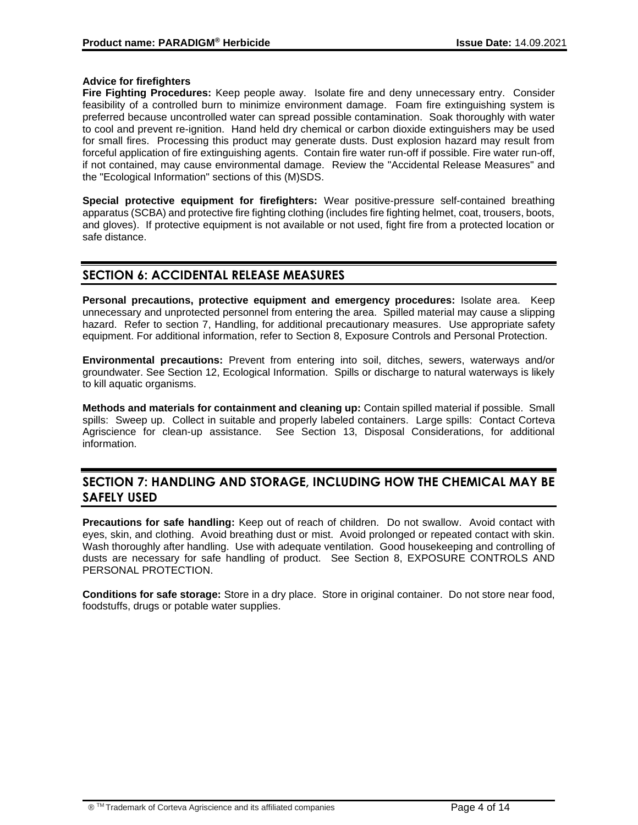# **Advice for firefighters**

**Fire Fighting Procedures:** Keep people away. Isolate fire and deny unnecessary entry. Consider feasibility of a controlled burn to minimize environment damage. Foam fire extinguishing system is preferred because uncontrolled water can spread possible contamination. Soak thoroughly with water to cool and prevent re-ignition. Hand held dry chemical or carbon dioxide extinguishers may be used for small fires. Processing this product may generate dusts. Dust explosion hazard may result from forceful application of fire extinguishing agents. Contain fire water run-off if possible. Fire water run-off, if not contained, may cause environmental damage. Review the "Accidental Release Measures" and the "Ecological Information" sections of this (M)SDS.

**Special protective equipment for firefighters:** Wear positive-pressure self-contained breathing apparatus (SCBA) and protective fire fighting clothing (includes fire fighting helmet, coat, trousers, boots, and gloves). If protective equipment is not available or not used, fight fire from a protected location or safe distance.

# **SECTION 6: ACCIDENTAL RELEASE MEASURES**

**Personal precautions, protective equipment and emergency procedures:** Isolate area. Keep unnecessary and unprotected personnel from entering the area. Spilled material may cause a slipping hazard. Refer to section 7, Handling, for additional precautionary measures. Use appropriate safety equipment. For additional information, refer to Section 8, Exposure Controls and Personal Protection.

**Environmental precautions:** Prevent from entering into soil, ditches, sewers, waterways and/or groundwater. See Section 12, Ecological Information. Spills or discharge to natural waterways is likely to kill aquatic organisms.

**Methods and materials for containment and cleaning up:** Contain spilled material if possible. Small spills: Sweep up. Collect in suitable and properly labeled containers. Large spills: Contact Corteva Agriscience for clean-up assistance. See Section 13, Disposal Considerations, for additional information.

# **SECTION 7: HANDLING AND STORAGE, INCLUDING HOW THE CHEMICAL MAY BE SAFELY USED**

**Precautions for safe handling:** Keep out of reach of children. Do not swallow. Avoid contact with eyes, skin, and clothing. Avoid breathing dust or mist. Avoid prolonged or repeated contact with skin. Wash thoroughly after handling. Use with adequate ventilation. Good housekeeping and controlling of dusts are necessary for safe handling of product. See Section 8, EXPOSURE CONTROLS AND PERSONAL PROTECTION.

**Conditions for safe storage:** Store in a dry place. Store in original container. Do not store near food, foodstuffs, drugs or potable water supplies.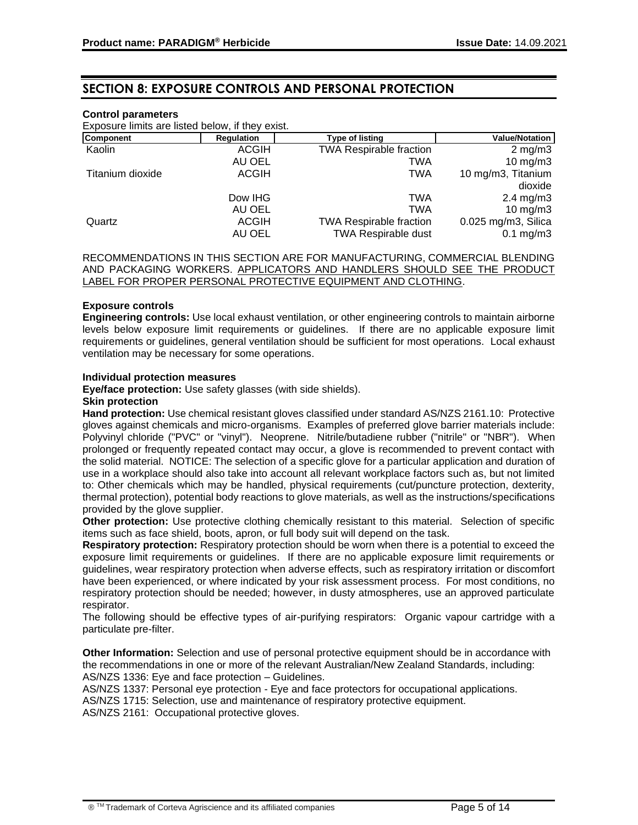# **SECTION 8: EXPOSURE CONTROLS AND PERSONAL PROTECTION**

#### **Control parameters**

Exposure limits are listed below, if they exist.

| <b>Component</b> | <b>Regulation</b> | <b>Type of listing</b>         | <b>Value/Notation</b> |
|------------------|-------------------|--------------------------------|-----------------------|
| Kaolin           | <b>ACGIH</b>      | <b>TWA Respirable fraction</b> | $2 \text{ mg/m}$      |
|                  | AU OEL            | TWA                            | 10 $mg/m3$            |
| Titanium dioxide | <b>ACGIH</b>      | TWA                            | 10 mg/m3, Titanium    |
|                  |                   |                                | dioxide               |
|                  | Dow IHG           | TWA                            | $2.4 \text{ mg/m}$ 3  |
|                  | AU OEL            | TWA                            | 10 mg/m $3$           |
| Quartz           | <b>ACGIH</b>      | <b>TWA Respirable fraction</b> | 0.025 mg/m3, Silica   |
|                  | AU OEL            | <b>TWA Respirable dust</b>     | $0.1$ mg/m $3$        |

RECOMMENDATIONS IN THIS SECTION ARE FOR MANUFACTURING, COMMERCIAL BLENDING AND PACKAGING WORKERS. APPLICATORS AND HANDLERS SHOULD SEE THE PRODUCT LABEL FOR PROPER PERSONAL PROTECTIVE EQUIPMENT AND CLOTHING.

#### **Exposure controls**

**Engineering controls:** Use local exhaust ventilation, or other engineering controls to maintain airborne levels below exposure limit requirements or guidelines. If there are no applicable exposure limit requirements or guidelines, general ventilation should be sufficient for most operations. Local exhaust ventilation may be necessary for some operations.

#### **Individual protection measures**

**Eye/face protection:** Use safety glasses (with side shields).

### **Skin protection**

**Hand protection:** Use chemical resistant gloves classified under standard AS/NZS 2161.10: Protective gloves against chemicals and micro-organisms. Examples of preferred glove barrier materials include: Polyvinyl chloride ("PVC" or "vinyl"). Neoprene. Nitrile/butadiene rubber ("nitrile" or "NBR"). When prolonged or frequently repeated contact may occur, a glove is recommended to prevent contact with the solid material. NOTICE: The selection of a specific glove for a particular application and duration of use in a workplace should also take into account all relevant workplace factors such as, but not limited to: Other chemicals which may be handled, physical requirements (cut/puncture protection, dexterity, thermal protection), potential body reactions to glove materials, as well as the instructions/specifications provided by the glove supplier.

**Other protection:** Use protective clothing chemically resistant to this material. Selection of specific items such as face shield, boots, apron, or full body suit will depend on the task.

**Respiratory protection:** Respiratory protection should be worn when there is a potential to exceed the exposure limit requirements or guidelines. If there are no applicable exposure limit requirements or guidelines, wear respiratory protection when adverse effects, such as respiratory irritation or discomfort have been experienced, or where indicated by your risk assessment process. For most conditions, no respiratory protection should be needed; however, in dusty atmospheres, use an approved particulate respirator.

The following should be effective types of air-purifying respirators: Organic vapour cartridge with a particulate pre-filter.

**Other Information:** Selection and use of personal protective equipment should be in accordance with the recommendations in one or more of the relevant Australian/New Zealand Standards, including: AS/NZS 1336: Eye and face protection – Guidelines.

AS/NZS 1337: Personal eye protection - Eye and face protectors for occupational applications.

AS/NZS 1715: Selection, use and maintenance of respiratory protective equipment.

AS/NZS 2161: Occupational protective gloves.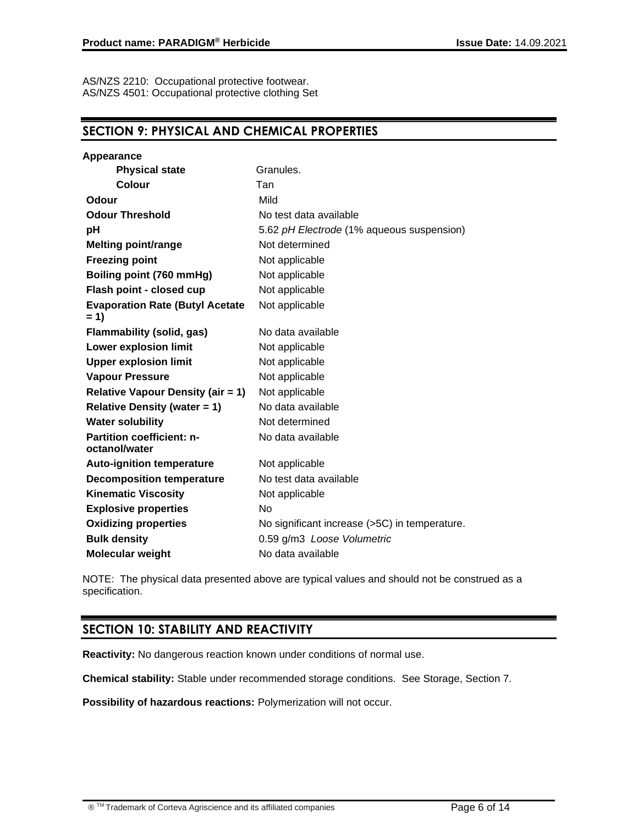AS/NZS 2210: Occupational protective footwear. AS/NZS 4501: Occupational protective clothing Set

# **SECTION 9: PHYSICAL AND CHEMICAL PROPERTIES**

| <b>Appearance</b>                                 |                                               |
|---------------------------------------------------|-----------------------------------------------|
| <b>Physical state</b>                             | Granules.                                     |
| <b>Colour</b>                                     | Tan                                           |
| Odour                                             | Mild                                          |
| <b>Odour Threshold</b>                            | No test data available                        |
| рH                                                | 5.62 pH Electrode (1% aqueous suspension)     |
| <b>Melting point/range</b>                        | Not determined                                |
| <b>Freezing point</b>                             | Not applicable                                |
| Boiling point (760 mmHg)                          | Not applicable                                |
| Flash point - closed cup                          | Not applicable                                |
| <b>Evaporation Rate (Butyl Acetate</b><br>$= 1$   | Not applicable                                |
| <b>Flammability (solid, gas)</b>                  | No data available                             |
| <b>Lower explosion limit</b>                      | Not applicable                                |
| <b>Upper explosion limit</b>                      | Not applicable                                |
| <b>Vapour Pressure</b>                            | Not applicable                                |
| <b>Relative Vapour Density (air = 1)</b>          | Not applicable                                |
| <b>Relative Density (water = 1)</b>               | No data available                             |
| <b>Water solubility</b>                           | Not determined                                |
| <b>Partition coefficient: n-</b><br>octanol/water | No data available                             |
| <b>Auto-ignition temperature</b>                  | Not applicable                                |
| <b>Decomposition temperature</b>                  | No test data available                        |
| <b>Kinematic Viscosity</b>                        | Not applicable                                |
| <b>Explosive properties</b>                       | No.                                           |
| <b>Oxidizing properties</b>                       | No significant increase (>5C) in temperature. |
| <b>Bulk density</b>                               | 0.59 g/m3 Loose Volumetric                    |
| <b>Molecular weight</b>                           | No data available                             |

NOTE: The physical data presented above are typical values and should not be construed as a specification.

# **SECTION 10: STABILITY AND REACTIVITY**

**Reactivity:** No dangerous reaction known under conditions of normal use.

**Chemical stability:** Stable under recommended storage conditions. See Storage, Section 7.

**Possibility of hazardous reactions:** Polymerization will not occur.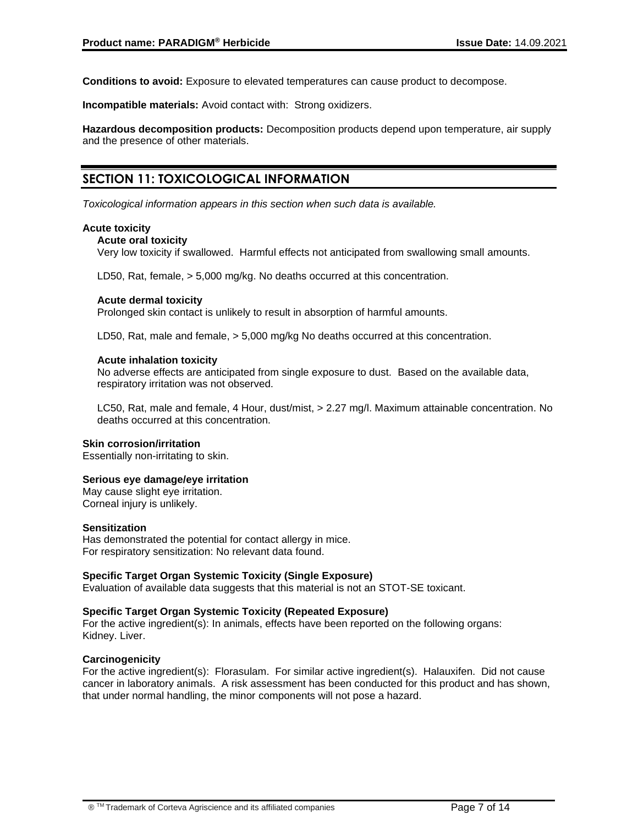**Conditions to avoid:** Exposure to elevated temperatures can cause product to decompose.

**Incompatible materials:** Avoid contact with: Strong oxidizers.

**Hazardous decomposition products:** Decomposition products depend upon temperature, air supply and the presence of other materials.

# **SECTION 11: TOXICOLOGICAL INFORMATION**

*Toxicological information appears in this section when such data is available.*

#### **Acute toxicity**

#### **Acute oral toxicity**

Very low toxicity if swallowed. Harmful effects not anticipated from swallowing small amounts.

LD50, Rat, female, > 5,000 mg/kg. No deaths occurred at this concentration.

# **Acute dermal toxicity**

Prolonged skin contact is unlikely to result in absorption of harmful amounts.

LD50, Rat, male and female, > 5,000 mg/kg No deaths occurred at this concentration.

# **Acute inhalation toxicity**

No adverse effects are anticipated from single exposure to dust. Based on the available data, respiratory irritation was not observed.

LC50, Rat, male and female, 4 Hour, dust/mist, > 2.27 mg/l. Maximum attainable concentration. No deaths occurred at this concentration.

#### **Skin corrosion/irritation**

Essentially non-irritating to skin.

# **Serious eye damage/eye irritation**

May cause slight eye irritation. Corneal injury is unlikely.

#### **Sensitization**

Has demonstrated the potential for contact allergy in mice. For respiratory sensitization: No relevant data found.

# **Specific Target Organ Systemic Toxicity (Single Exposure)**

Evaluation of available data suggests that this material is not an STOT-SE toxicant.

# **Specific Target Organ Systemic Toxicity (Repeated Exposure)**

For the active ingredient(s): In animals, effects have been reported on the following organs: Kidney. Liver.

#### **Carcinogenicity**

For the active ingredient(s): Florasulam. For similar active ingredient(s). Halauxifen. Did not cause cancer in laboratory animals. A risk assessment has been conducted for this product and has shown, that under normal handling, the minor components will not pose a hazard.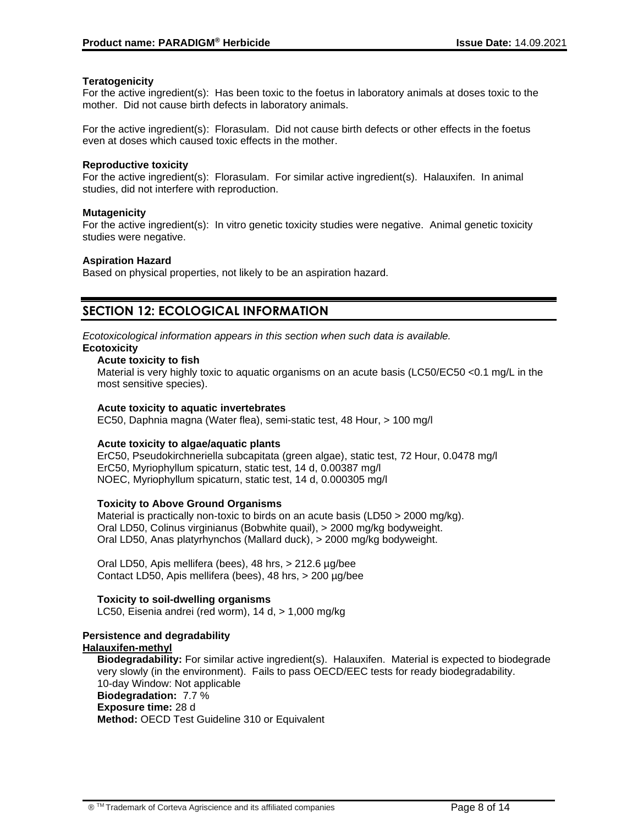# **Teratogenicity**

For the active ingredient(s): Has been toxic to the foetus in laboratory animals at doses toxic to the mother. Did not cause birth defects in laboratory animals.

For the active ingredient(s): Florasulam. Did not cause birth defects or other effects in the foetus even at doses which caused toxic effects in the mother.

#### **Reproductive toxicity**

For the active ingredient(s): Florasulam. For similar active ingredient(s). Halauxifen. In animal studies, did not interfere with reproduction.

# **Mutagenicity**

For the active ingredient(s): In vitro genetic toxicity studies were negative. Animal genetic toxicity studies were negative.

# **Aspiration Hazard**

Based on physical properties, not likely to be an aspiration hazard.

# **SECTION 12: ECOLOGICAL INFORMATION**

*Ecotoxicological information appears in this section when such data is available.*

# **Ecotoxicity**

# **Acute toxicity to fish**

Material is very highly toxic to aquatic organisms on an acute basis (LC50/EC50 <0.1 mg/L in the most sensitive species).

### **Acute toxicity to aquatic invertebrates**

EC50, Daphnia magna (Water flea), semi-static test, 48 Hour, > 100 mg/l

# **Acute toxicity to algae/aquatic plants**

ErC50, Pseudokirchneriella subcapitata (green algae), static test, 72 Hour, 0.0478 mg/l ErC50, Myriophyllum spicaturn, static test, 14 d, 0.00387 mg/l NOEC, Myriophyllum spicaturn, static test, 14 d, 0.000305 mg/l

# **Toxicity to Above Ground Organisms**

Material is practically non-toxic to birds on an acute basis (LD50 > 2000 mg/kg). Oral LD50, Colinus virginianus (Bobwhite quail), > 2000 mg/kg bodyweight. Oral LD50, Anas platyrhynchos (Mallard duck), > 2000 mg/kg bodyweight.

Oral LD50, Apis mellifera (bees), 48 hrs, > 212.6 µg/bee Contact LD50, Apis mellifera (bees), 48 hrs, > 200 µg/bee

# **Toxicity to soil-dwelling organisms**

LC50, Eisenia andrei (red worm), 14 d, > 1,000 mg/kg

#### **Persistence and degradability Halauxifen-methyl**

**Biodegradability:** For similar active ingredient(s). Halauxifen. Material is expected to biodegrade very slowly (in the environment). Fails to pass OECD/EEC tests for ready biodegradability. 10-day Window: Not applicable **Biodegradation:** 7.7 % **Exposure time:** 28 d **Method:** OECD Test Guideline 310 or Equivalent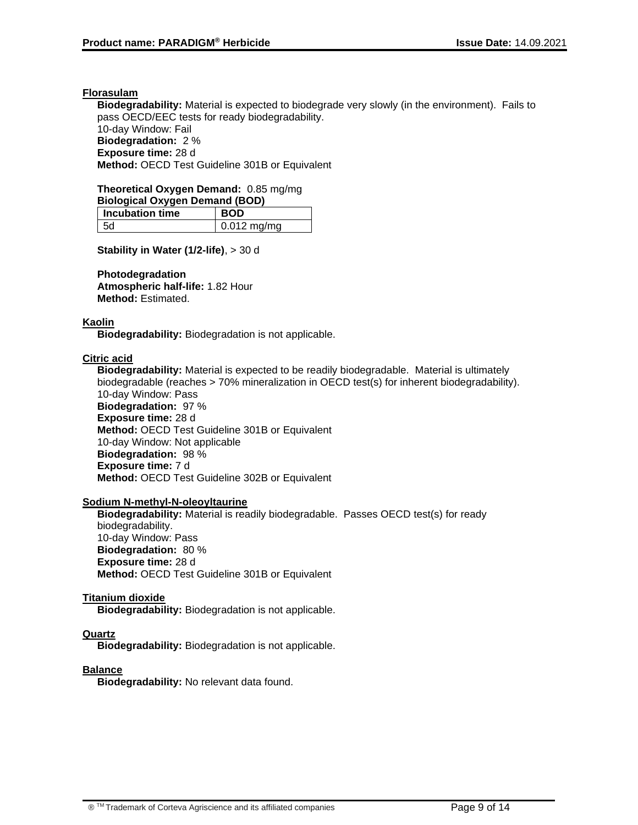### **Florasulam**

**Biodegradability:** Material is expected to biodegrade very slowly (in the environment). Fails to pass OECD/EEC tests for ready biodegradability. 10-day Window: Fail **Biodegradation:** 2 % **Exposure time:** 28 d **Method:** OECD Test Guideline 301B or Equivalent

#### **Theoretical Oxygen Demand:** 0.85 mg/mg **Biological Oxygen Demand (BOD)**

| Biological Oxygen Demand (BOD) |                   |  |
|--------------------------------|-------------------|--|
| $\mid$ Incubation time         | <b>BOD</b>        |  |
| - 5d                           | $\pm 0.012$ mg/mg |  |

**Stability in Water (1/2-life)**, > 30 d

#### **Photodegradation**

**Atmospheric half-life:** 1.82 Hour **Method:** Estimated.

# **Kaolin**

**Biodegradability:** Biodegradation is not applicable.

# **Citric acid**

**Biodegradability:** Material is expected to be readily biodegradable. Material is ultimately biodegradable (reaches > 70% mineralization in OECD test(s) for inherent biodegradability). 10-day Window: Pass **Biodegradation:** 97 % **Exposure time:** 28 d **Method:** OECD Test Guideline 301B or Equivalent 10-day Window: Not applicable **Biodegradation:** 98 % **Exposure time:** 7 d **Method:** OECD Test Guideline 302B or Equivalent

#### **Sodium N-methyl-N-oleoyltaurine**

**Biodegradability:** Material is readily biodegradable. Passes OECD test(s) for ready biodegradability. 10-day Window: Pass **Biodegradation:** 80 % **Exposure time:** 28 d **Method:** OECD Test Guideline 301B or Equivalent

#### **Titanium dioxide**

**Biodegradability:** Biodegradation is not applicable.

# **Quartz**

**Biodegradability:** Biodegradation is not applicable.

# **Balance**

**Biodegradability:** No relevant data found.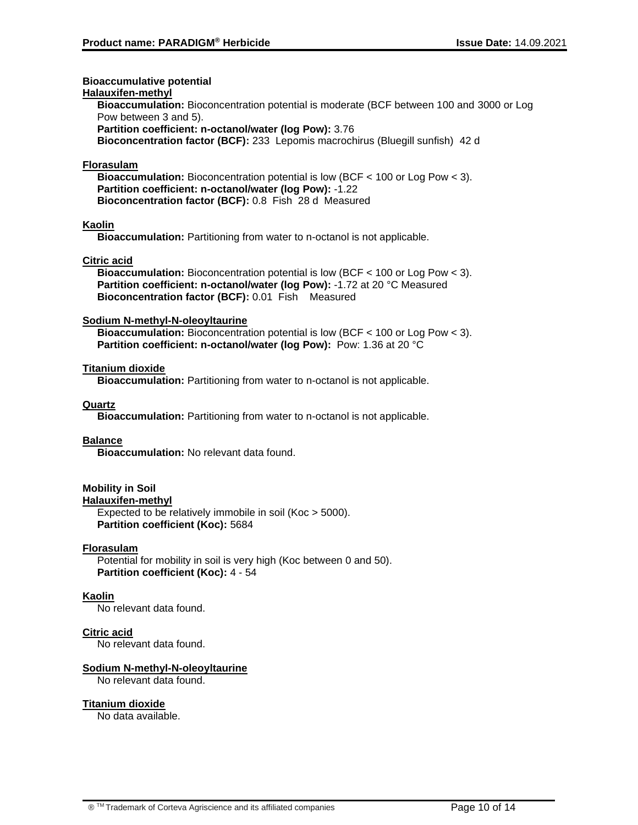### **Bioaccumulative potential**

#### **Halauxifen-methyl**

**Bioaccumulation:** Bioconcentration potential is moderate (BCF between 100 and 3000 or Log Pow between 3 and 5).

**Partition coefficient: n-octanol/water (log Pow):** 3.76

**Bioconcentration factor (BCF):** 233 Lepomis macrochirus (Bluegill sunfish) 42 d

### **Florasulam**

**Bioaccumulation:** Bioconcentration potential is low (BCF < 100 or Log Pow < 3). **Partition coefficient: n-octanol/water (log Pow):** -1.22 **Bioconcentration factor (BCF):** 0.8 Fish 28 d Measured

# **Kaolin**

**Bioaccumulation:** Partitioning from water to n-octanol is not applicable.

# **Citric acid**

**Bioaccumulation:** Bioconcentration potential is low (BCF < 100 or Log Pow < 3). **Partition coefficient: n-octanol/water (log Pow):** -1.72 at 20 °C Measured **Bioconcentration factor (BCF):** 0.01 Fish Measured

# **Sodium N-methyl-N-oleoyltaurine**

**Bioaccumulation:** Bioconcentration potential is low (BCF < 100 or Log Pow < 3). **Partition coefficient: n-octanol/water (log Pow):** Pow: 1.36 at 20 °C

# **Titanium dioxide**

**Bioaccumulation:** Partitioning from water to n-octanol is not applicable.

# **Quartz**

**Bioaccumulation:** Partitioning from water to n-octanol is not applicable.

# **Balance**

**Bioaccumulation:** No relevant data found.

# **Mobility in Soil**

**Halauxifen-methyl**

Expected to be relatively immobile in soil (Koc > 5000). **Partition coefficient (Koc):** 5684

#### **Florasulam**

Potential for mobility in soil is very high (Koc between 0 and 50). **Partition coefficient (Koc):** 4 - 54

# **Kaolin**

No relevant data found.

# **Citric acid**

No relevant data found.

# **Sodium N-methyl-N-oleoyltaurine**

No relevant data found.

#### **Titanium dioxide**

No data available.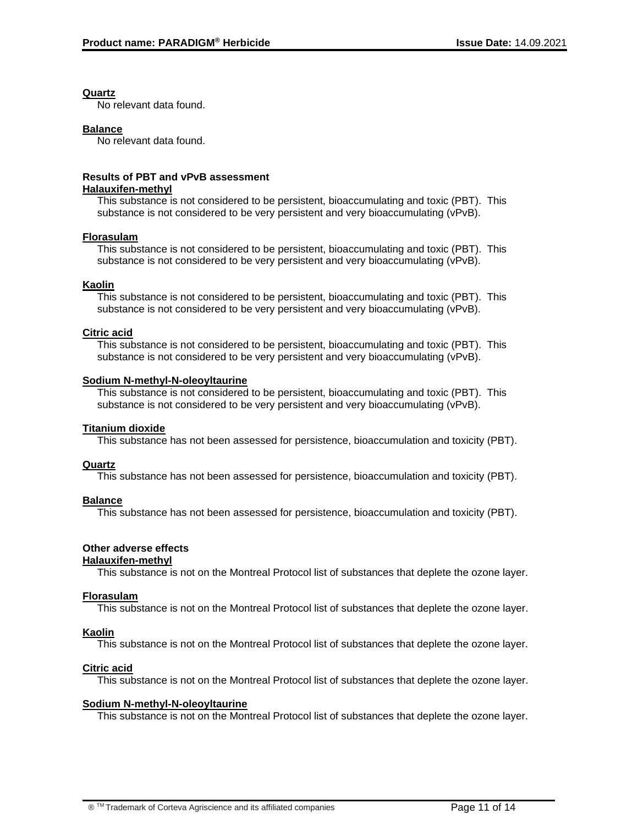#### **Quartz**

No relevant data found.

### **Balance**

No relevant data found.

# **Results of PBT and vPvB assessment**

#### **Halauxifen-methyl**

This substance is not considered to be persistent, bioaccumulating and toxic (PBT). This substance is not considered to be very persistent and very bioaccumulating (vPvB).

# **Florasulam**

This substance is not considered to be persistent, bioaccumulating and toxic (PBT). This substance is not considered to be very persistent and very bioaccumulating (vPvB).

# **Kaolin**

This substance is not considered to be persistent, bioaccumulating and toxic (PBT). This substance is not considered to be very persistent and very bioaccumulating (vPvB).

# **Citric acid**

This substance is not considered to be persistent, bioaccumulating and toxic (PBT). This substance is not considered to be very persistent and very bioaccumulating (vPvB).

# **Sodium N-methyl-N-oleoyltaurine**

This substance is not considered to be persistent, bioaccumulating and toxic (PBT). This substance is not considered to be very persistent and very bioaccumulating (vPvB).

#### **Titanium dioxide**

This substance has not been assessed for persistence, bioaccumulation and toxicity (PBT).

#### **Quartz**

This substance has not been assessed for persistence, bioaccumulation and toxicity (PBT).

#### **Balance**

This substance has not been assessed for persistence, bioaccumulation and toxicity (PBT).

# **Other adverse effects**

#### **Halauxifen-methyl**

This substance is not on the Montreal Protocol list of substances that deplete the ozone layer.

#### **Florasulam**

This substance is not on the Montreal Protocol list of substances that deplete the ozone layer.

# **Kaolin**

This substance is not on the Montreal Protocol list of substances that deplete the ozone layer.

# **Citric acid**

This substance is not on the Montreal Protocol list of substances that deplete the ozone layer.

# **Sodium N-methyl-N-oleoyltaurine**

This substance is not on the Montreal Protocol list of substances that deplete the ozone layer.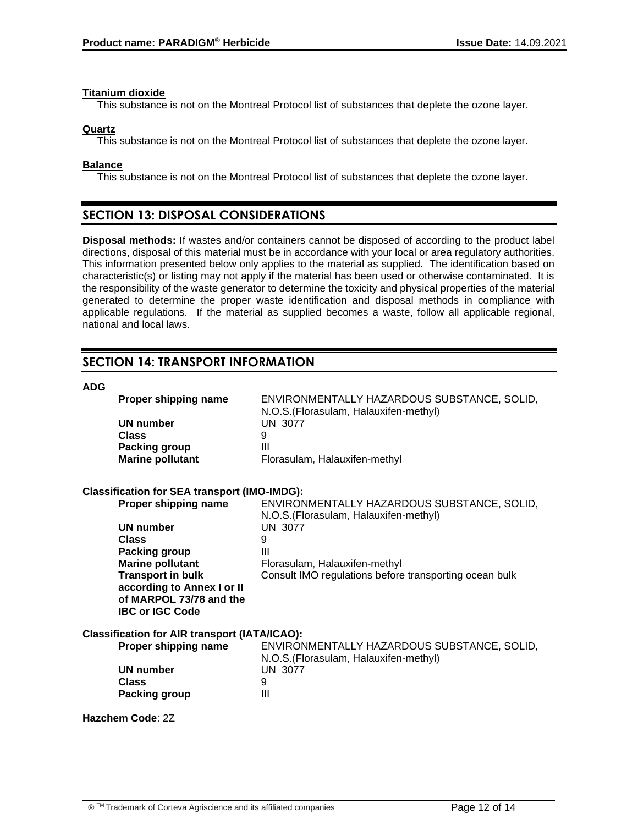#### **Titanium dioxide**

This substance is not on the Montreal Protocol list of substances that deplete the ozone layer.

### **Quartz**

This substance is not on the Montreal Protocol list of substances that deplete the ozone layer.

### **Balance**

This substance is not on the Montreal Protocol list of substances that deplete the ozone layer.

# **SECTION 13: DISPOSAL CONSIDERATIONS**

**Disposal methods:** If wastes and/or containers cannot be disposed of according to the product label directions, disposal of this material must be in accordance with your local or area regulatory authorities. This information presented below only applies to the material as supplied. The identification based on characteristic(s) or listing may not apply if the material has been used or otherwise contaminated. It is the responsibility of the waste generator to determine the toxicity and physical properties of the material generated to determine the proper waste identification and disposal methods in compliance with applicable regulations. If the material as supplied becomes a waste, follow all applicable regional, national and local laws.

# **SECTION 14: TRANSPORT INFORMATION**

#### **ADG**

| Proper shipping name                                 | ENVIRONMENTALLY HAZARDOUS SUBSTANCE, SOLID,<br>N.O.S. (Florasulam, Halauxifen-methyl) |
|------------------------------------------------------|---------------------------------------------------------------------------------------|
| <b>UN number</b>                                     | <b>UN 3077</b>                                                                        |
| <b>Class</b>                                         | 9                                                                                     |
| <b>Packing group</b>                                 | $\mathbf{III}$                                                                        |
| <b>Marine pollutant</b>                              | Florasulam, Halauxifen-methyl                                                         |
| <b>Classification for SEA transport (IMO-IMDG):</b>  |                                                                                       |
| Proper shipping name                                 | ENVIRONMENTALLY HAZARDOUS SUBSTANCE, SOLID,<br>N.O.S. (Florasulam, Halauxifen-methyl) |
| <b>UN number</b>                                     | <b>UN 3077</b>                                                                        |
| <b>Class</b>                                         | 9                                                                                     |
| Packing group                                        | $\mathbf{III}$                                                                        |
| <b>Marine pollutant</b>                              | Florasulam, Halauxifen-methyl                                                         |
| <b>Transport in bulk</b>                             | Consult IMO regulations before transporting ocean bulk                                |
| according to Annex I or II                           |                                                                                       |
| of MARPOL 73/78 and the                              |                                                                                       |
| <b>IBC or IGC Code</b>                               |                                                                                       |
| <b>Classification for AIR transport (IATA/ICAO):</b> |                                                                                       |
| Proper shipping name                                 | ENVIRONMENTALLY HAZARDOUS SUBSTANCE, SOLID,<br>N.O.S. (Florasulam, Halauxifen-methyl) |
| <b>UN number</b>                                     | <b>UN 3077</b>                                                                        |
| <b>Class</b>                                         | 9                                                                                     |
| Packing group                                        | $\mathbf{III}$                                                                        |
| Hazchem Code: 2Z                                     |                                                                                       |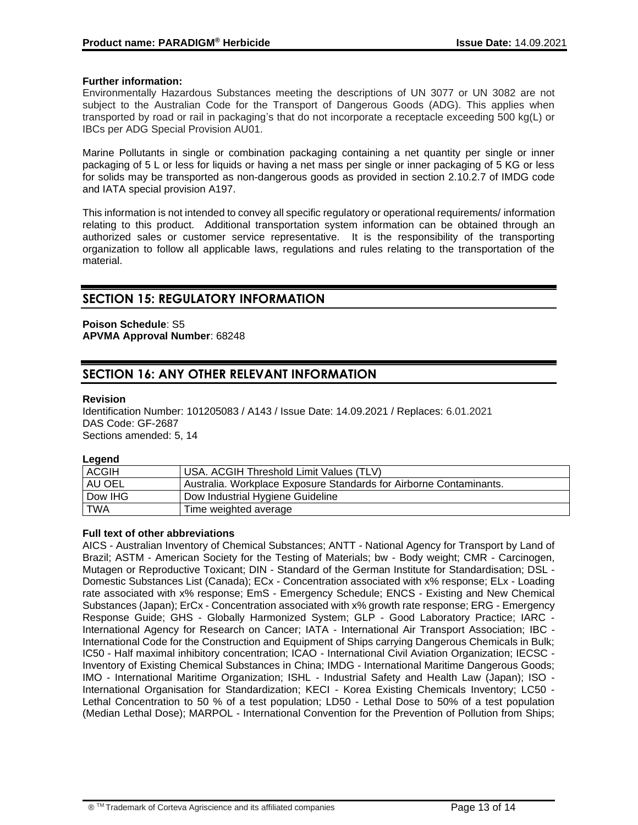### **Further information:**

Environmentally Hazardous Substances meeting the descriptions of UN 3077 or UN 3082 are not subject to the Australian Code for the Transport of Dangerous Goods (ADG). This applies when transported by road or rail in packaging's that do not incorporate a receptacle exceeding 500 kg(L) or IBCs per ADG Special Provision AU01.

Marine Pollutants in single or combination packaging containing a net quantity per single or inner packaging of 5 L or less for liquids or having a net mass per single or inner packaging of 5 KG or less for solids may be transported as non-dangerous goods as provided in section 2.10.2.7 of IMDG code and IATA special provision A197.

This information is not intended to convey all specific regulatory or operational requirements/ information relating to this product. Additional transportation system information can be obtained through an authorized sales or customer service representative. It is the responsibility of the transporting organization to follow all applicable laws, regulations and rules relating to the transportation of the material.

# **SECTION 15: REGULATORY INFORMATION**

### **Poison Schedule**: S5 **APVMA Approval Number**: 68248

# **SECTION 16: ANY OTHER RELEVANT INFORMATION**

#### **Revision**

Identification Number: 101205083 / A143 / Issue Date: 14.09.2021 / Replaces: 6.01.2021 DAS Code: GF-2687 Sections amended: 5, 14

**Legend**

| <b>ACGIH</b> | USA. ACGIH Threshold Limit Values (TLV)                            |
|--------------|--------------------------------------------------------------------|
| AU OEL       | Australia. Workplace Exposure Standards for Airborne Contaminants. |
| Dow IHG      | Dow Industrial Hygiene Guideline                                   |
| <b>TWA</b>   | Time weighted average                                              |

#### **Full text of other abbreviations**

AICS - Australian Inventory of Chemical Substances; ANTT - National Agency for Transport by Land of Brazil; ASTM - American Society for the Testing of Materials; bw - Body weight; CMR - Carcinogen, Mutagen or Reproductive Toxicant; DIN - Standard of the German Institute for Standardisation; DSL - Domestic Substances List (Canada); ECx - Concentration associated with x% response; ELx - Loading rate associated with x% response; EmS - Emergency Schedule; ENCS - Existing and New Chemical Substances (Japan); ErCx - Concentration associated with x% growth rate response; ERG - Emergency Response Guide; GHS - Globally Harmonized System; GLP - Good Laboratory Practice; IARC - International Agency for Research on Cancer; IATA - International Air Transport Association; IBC - International Code for the Construction and Equipment of Ships carrying Dangerous Chemicals in Bulk; IC50 - Half maximal inhibitory concentration; ICAO - International Civil Aviation Organization; IECSC - Inventory of Existing Chemical Substances in China; IMDG - International Maritime Dangerous Goods; IMO - International Maritime Organization; ISHL - Industrial Safety and Health Law (Japan); ISO - International Organisation for Standardization; KECI - Korea Existing Chemicals Inventory; LC50 - Lethal Concentration to 50 % of a test population; LD50 - Lethal Dose to 50% of a test population (Median Lethal Dose); MARPOL - International Convention for the Prevention of Pollution from Ships;